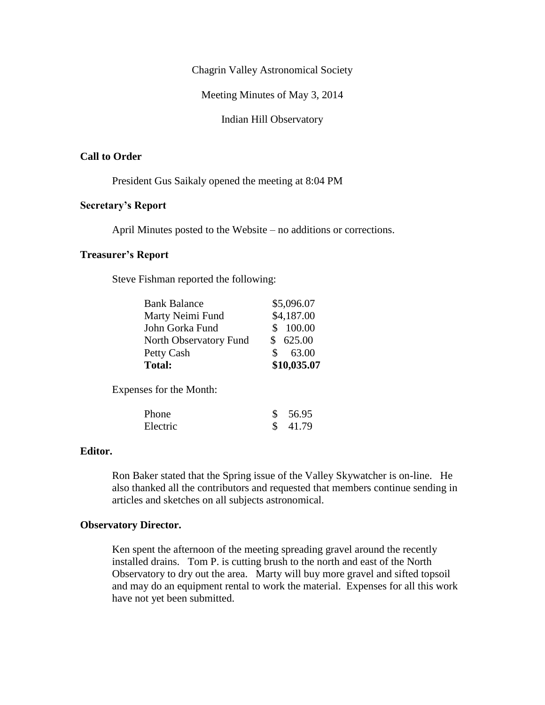Chagrin Valley Astronomical Society

Meeting Minutes of May 3, 2014

Indian Hill Observatory

## **Call to Order**

President Gus Saikaly opened the meeting at 8:04 PM

# **Secretary's Report**

April Minutes posted to the Website – no additions or corrections.

# **Treasurer's Report**

Steve Fishman reported the following:

| <b>Total:</b>          | \$10,035.07  |
|------------------------|--------------|
| Petty Cash             | 63.00<br>SS. |
| North Observatory Fund | \$625.00     |
| John Gorka Fund        | \$ 100.00    |
| Marty Neimi Fund       | \$4,187.00   |
| <b>Bank Balance</b>    | \$5,096.07   |

Expenses for the Month:

| Phone    | \$56.95 |
|----------|---------|
| Electric | \$41.79 |

### **Editor.**

Ron Baker stated that the Spring issue of the Valley Skywatcher is on-line. He also thanked all the contributors and requested that members continue sending in articles and sketches on all subjects astronomical.

#### **Observatory Director.**

Ken spent the afternoon of the meeting spreading gravel around the recently installed drains. Tom P. is cutting brush to the north and east of the North Observatory to dry out the area. Marty will buy more gravel and sifted topsoil and may do an equipment rental to work the material. Expenses for all this work have not yet been submitted.